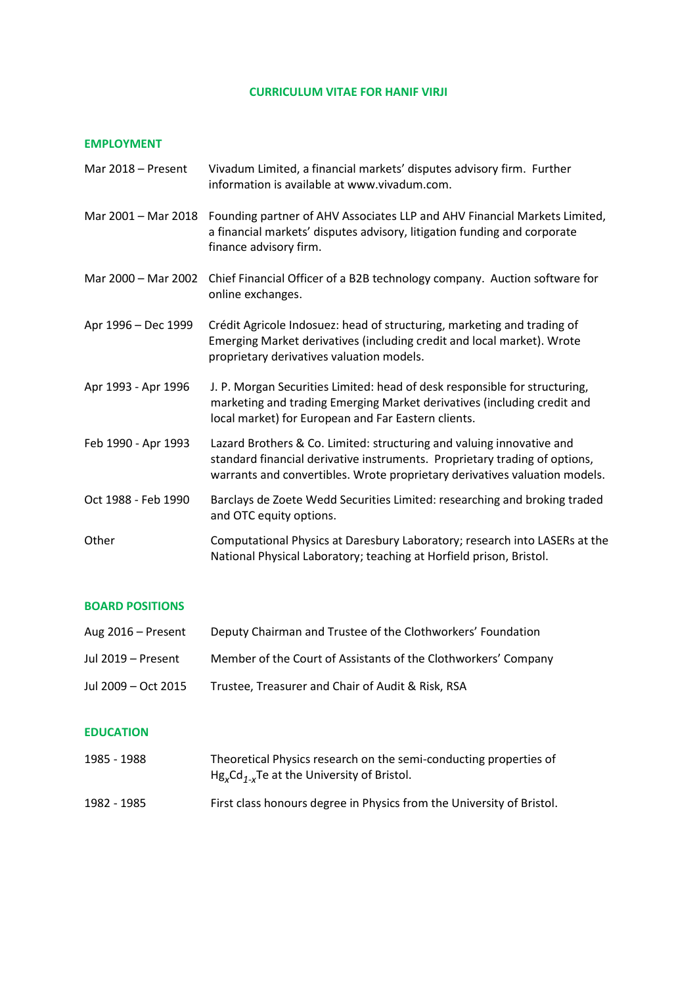### **CURRICULUM VITAE FOR HANIF VIRJI**

#### **EMPLOYMENT**

| Mar 2018 - Present  | Vivadum Limited, a financial markets' disputes advisory firm. Further<br>information is available at www.vivadum.com.                                                                                                             |
|---------------------|-----------------------------------------------------------------------------------------------------------------------------------------------------------------------------------------------------------------------------------|
| Mar 2001 - Mar 2018 | Founding partner of AHV Associates LLP and AHV Financial Markets Limited,<br>a financial markets' disputes advisory, litigation funding and corporate<br>finance advisory firm.                                                   |
| Mar 2000 - Mar 2002 | Chief Financial Officer of a B2B technology company. Auction software for<br>online exchanges.                                                                                                                                    |
| Apr 1996 - Dec 1999 | Crédit Agricole Indosuez: head of structuring, marketing and trading of<br>Emerging Market derivatives (including credit and local market). Wrote<br>proprietary derivatives valuation models.                                    |
| Apr 1993 - Apr 1996 | J. P. Morgan Securities Limited: head of desk responsible for structuring,<br>marketing and trading Emerging Market derivatives (including credit and<br>local market) for European and Far Eastern clients.                      |
| Feb 1990 - Apr 1993 | Lazard Brothers & Co. Limited: structuring and valuing innovative and<br>standard financial derivative instruments. Proprietary trading of options,<br>warrants and convertibles. Wrote proprietary derivatives valuation models. |
| Oct 1988 - Feb 1990 | Barclays de Zoete Wedd Securities Limited: researching and broking traded<br>and OTC equity options.                                                                                                                              |
| Other               | Computational Physics at Daresbury Laboratory; research into LASERs at the<br>National Physical Laboratory; teaching at Horfield prison, Bristol.                                                                                 |

# **BOARD POSITIONS**

| Aug 2016 – Present  | Deputy Chairman and Trustee of the Clothworkers' Foundation    |
|---------------------|----------------------------------------------------------------|
| Jul 2019 – Present  | Member of the Court of Assistants of the Clothworkers' Company |
| Jul 2009 – Oct 2015 | Trustee, Treasurer and Chair of Audit & Risk, RSA              |

# **EDUCATION**

| 1985 - 1988 | Theoretical Physics research on the semi-conducting properties of<br>$Hg_xCd_{1-x}Te$ at the University of Bristol. |
|-------------|---------------------------------------------------------------------------------------------------------------------|
| 1982 - 1985 | First class honours degree in Physics from the University of Bristol.                                               |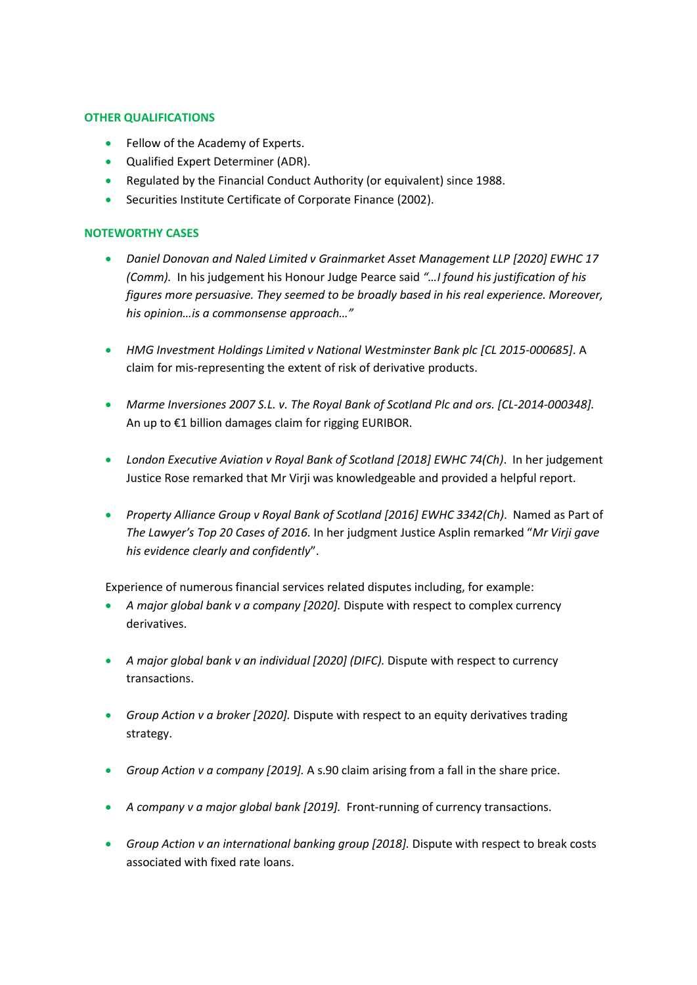## **OTHER QUALIFICATIONS**

- Fellow of the Academy of Experts.
- Qualified Expert Determiner (ADR).
- Regulated by the Financial Conduct Authority (or equivalent) since 1988.
- Securities Institute Certificate of Corporate Finance (2002).

## **NOTEWORTHY CASES**

- *Daniel Donovan and Naled Limited v Grainmarket Asset Management LLP [2020] EWHC 17 (Comm).* In his judgement his Honour Judge Pearce said *"…I found his justification of his figures more persuasive. They seemed to be broadly based in his real experience. Moreover, his opinion…is a commonsense approach…"*
- *HMG Investment Holdings Limited v National Westminster Bank plc [CL 2015-000685]*. A claim for mis-representing the extent of risk of derivative products.
- *Marme Inversiones 2007 S.L. v. The Royal Bank of Scotland Plc and ors. [CL-2014-000348].* An up to €1 billion damages claim for rigging EURIBOR.
- *London Executive Aviation v Royal Bank of Scotland [2018] EWHC 74(Ch)*. In her judgement Justice Rose remarked that Mr Virji was knowledgeable and provided a helpful report.
- *Property Alliance Group v Royal Bank of Scotland [2016] EWHC 3342(Ch)*. Named as Part of *The Lawyer's Top 20 Cases of 2016.* In her judgment Justice Asplin remarked "*Mr Virji gave his evidence clearly and confidently*".

Experience of numerous financial services related disputes including, for example:

- *A major global bank v a company [2020].* Dispute with respect to complex currency derivatives.
- *A major global bank v an individual [2020] (DIFC).* Dispute with respect to currency transactions.
- *Group Action v a broker [2020].* Dispute with respect to an equity derivatives trading strategy.
- *Group Action v a company [2019].* A s.90 claim arising from a fall in the share price.
- *A company v a major global bank [2019].* Front-running of currency transactions.
- *Group Action v an international banking group [2018].* Dispute with respect to break costs associated with fixed rate loans.